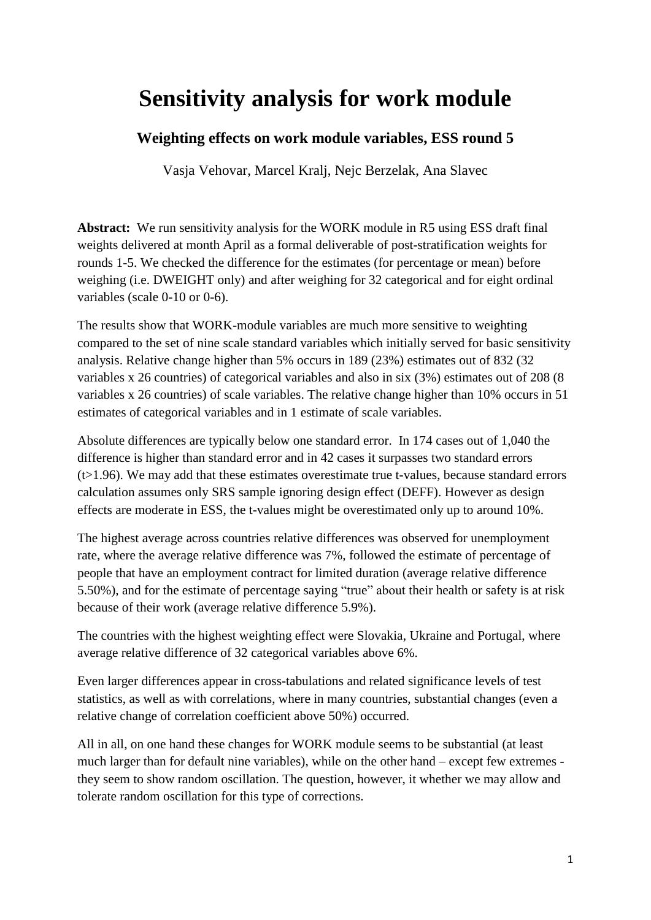# **Sensitivity analysis for work module**

# **Weighting effects on work module variables, ESS round 5**

Vasja Vehovar, Marcel Kralj, Nejc Berzelak, Ana Slavec

**Abstract:** We run sensitivity analysis for the WORK module in R5 using ESS draft final weights delivered at month April as a formal deliverable of post-stratification weights for rounds 1-5. We checked the difference for the estimates (for percentage or mean) before weighing (i.e. DWEIGHT only) and after weighing for 32 categorical and for eight ordinal variables (scale 0-10 or 0-6).

The results show that WORK-module variables are much more sensitive to weighting compared to the set of nine scale standard variables which initially served for basic sensitivity analysis. Relative change higher than 5% occurs in 189 (23%) estimates out of 832 (32 variables x 26 countries) of categorical variables and also in six (3%) estimates out of 208 (8 variables x 26 countries) of scale variables. The relative change higher than 10% occurs in 51 estimates of categorical variables and in 1 estimate of scale variables.

Absolute differences are typically below one standard error. In 174 cases out of 1,040 the difference is higher than standard error and in 42 cases it surpasses two standard errors  $(t>1.96)$ . We may add that these estimates overestimate true t-values, because standard errors calculation assumes only SRS sample ignoring design effect (DEFF). However as design effects are moderate in ESS, the t-values might be overestimated only up to around 10%.

The highest average across countries relative differences was observed for unemployment rate, where the average relative difference was 7%, followed the estimate of percentage of people that have an employment contract for limited duration (average relative difference 5.50%), and for the estimate of percentage saying "true" about their health or safety is at risk because of their work (average relative difference 5.9%).

The countries with the highest weighting effect were Slovakia, Ukraine and Portugal, where average relative difference of 32 categorical variables above 6%.

Even larger differences appear in cross-tabulations and related significance levels of test statistics, as well as with correlations, where in many countries, substantial changes (even a relative change of correlation coefficient above 50%) occurred.

All in all, on one hand these changes for WORK module seems to be substantial (at least much larger than for default nine variables), while on the other hand – except few extremes they seem to show random oscillation. The question, however, it whether we may allow and tolerate random oscillation for this type of corrections.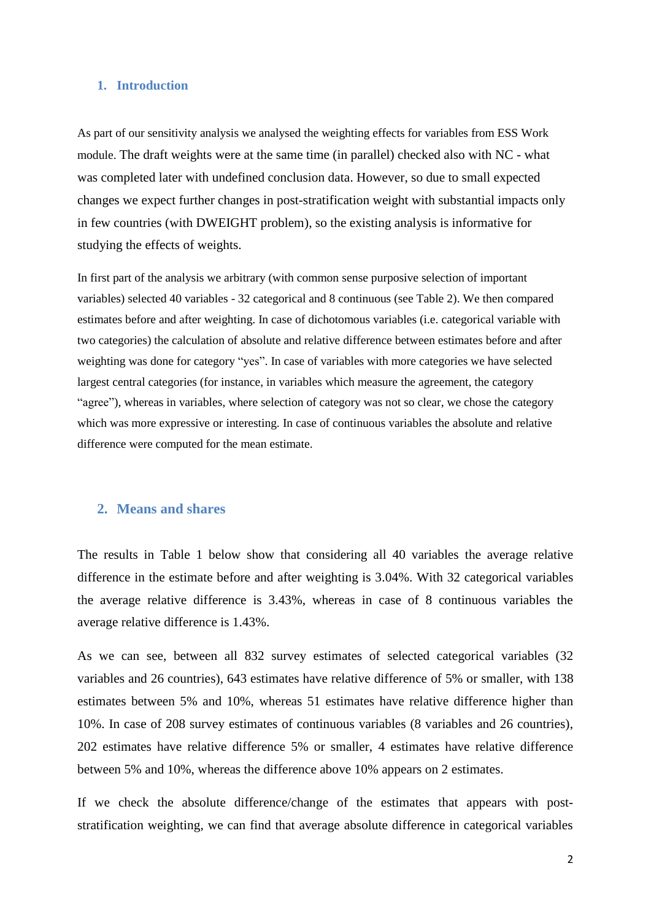#### **1. Introduction**

As part of our sensitivity analysis we analysed the weighting effects for variables from ESS Work module. The draft weights were at the same time (in parallel) checked also with NC - what was completed later with undefined conclusion data. However, so due to small expected changes we expect further changes in post-stratification weight with substantial impacts only in few countries (with DWEIGHT problem), so the existing analysis is informative for studying the effects of weights.

In first part of the analysis we arbitrary (with common sense purposive selection of important variables) selected 40 variables - 32 categorical and 8 continuous (see Table 2). We then compared estimates before and after weighting. In case of dichotomous variables (i.e. categorical variable with two categories) the calculation of absolute and relative difference between estimates before and after weighting was done for category "yes". In case of variables with more categories we have selected largest central categories (for instance, in variables which measure the agreement, the category "agree"), whereas in variables, where selection of category was not so clear, we chose the category which was more expressive or interesting. In case of continuous variables the absolute and relative difference were computed for the mean estimate.

## **2. Means and shares**

The results in Table 1 below show that considering all 40 variables the average relative difference in the estimate before and after weighting is 3.04%. With 32 categorical variables the average relative difference is 3.43%, whereas in case of 8 continuous variables the average relative difference is 1.43%.

As we can see, between all 832 survey estimates of selected categorical variables (32 variables and 26 countries), 643 estimates have relative difference of 5% or smaller, with 138 estimates between 5% and 10%, whereas 51 estimates have relative difference higher than 10%. In case of 208 survey estimates of continuous variables (8 variables and 26 countries), 202 estimates have relative difference 5% or smaller, 4 estimates have relative difference between 5% and 10%, whereas the difference above 10% appears on 2 estimates.

If we check the absolute difference/change of the estimates that appears with poststratification weighting, we can find that average absolute difference in categorical variables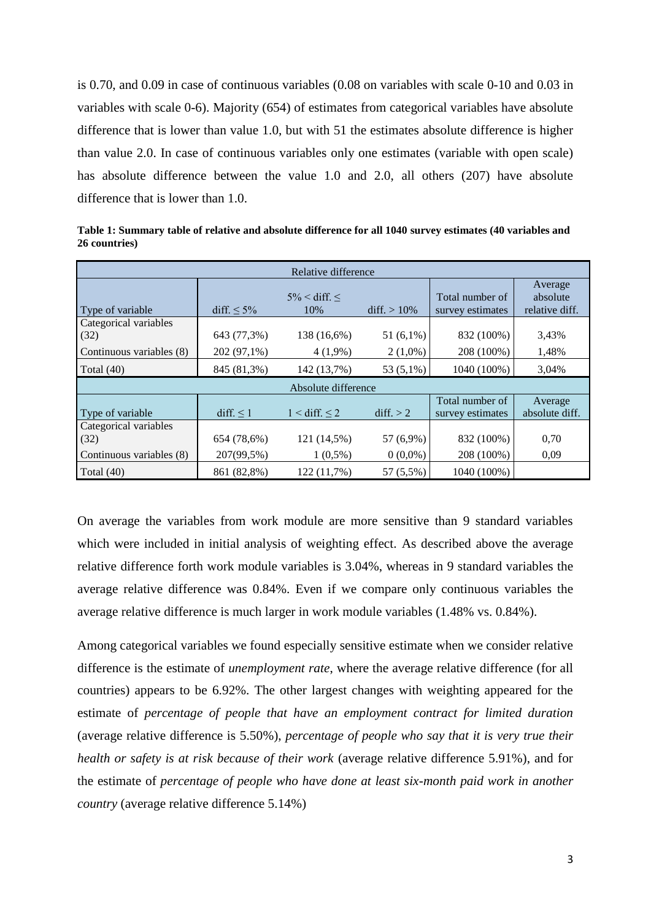is 0.70, and 0.09 in case of continuous variables (0.08 on variables with scale 0-10 and 0.03 in variables with scale 0-6). Majority (654) of estimates from categorical variables have absolute difference that is lower than value 1.0, but with 51 the estimates absolute difference is higher than value 2.0. In case of continuous variables only one estimates (variable with open scale) has absolute difference between the value 1.0 and 2.0, all others (207) have absolute difference that is lower than 1.0.

| Relative difference                                       |                           |                                       |                         |                                     |                           |  |  |  |  |  |  |  |
|-----------------------------------------------------------|---------------------------|---------------------------------------|-------------------------|-------------------------------------|---------------------------|--|--|--|--|--|--|--|
| Type of variable                                          | diff. $\leq 5\%$          | Average<br>absolute<br>relative diff. |                         |                                     |                           |  |  |  |  |  |  |  |
| Categorical variables<br>(32)                             | 643 (77,3%)               | 138 (16,6%)                           | 51 $(6,1\%)$            | 832 (100%)                          | 3,43%                     |  |  |  |  |  |  |  |
| Continuous variables (8)                                  | 202 (97,1%)               | $4(1,9\%)$                            | $2(1,0\%)$              | 208 (100%)                          | 1,48%                     |  |  |  |  |  |  |  |
| Total $(40)$                                              | 845 (81,3%)               | 142 (13,7%)                           | 53 (5,1%)               | 1040 (100%)                         | 3,04%                     |  |  |  |  |  |  |  |
|                                                           |                           | Absolute difference                   |                         |                                     |                           |  |  |  |  |  |  |  |
| Type of variable                                          | $diff. \leq 1$            | $1 <$ diff. $\leq 2$                  | diff. > 2               | Total number of<br>survey estimates | Average<br>absolute diff. |  |  |  |  |  |  |  |
| Categorical variables<br>(32)<br>Continuous variables (8) | 654 (78,6%)<br>207(99,5%) | 121 (14,5%)<br>$1(0,5\%)$             | 57 (6,9%)<br>$0(0,0\%)$ | 832 (100%)<br>208 (100%)            | 0,70<br>0,09              |  |  |  |  |  |  |  |
| Total $(40)$                                              | 861 (82,8%)               | 122 (11,7%)                           | 57 (5,5%)               | 1040 (100%)                         |                           |  |  |  |  |  |  |  |

**Table 1: Summary table of relative and absolute difference for all 1040 survey estimates (40 variables and 26 countries)**

On average the variables from work module are more sensitive than 9 standard variables which were included in initial analysis of weighting effect. As described above the average relative difference forth work module variables is 3.04%, whereas in 9 standard variables the average relative difference was 0.84%. Even if we compare only continuous variables the average relative difference is much larger in work module variables (1.48% vs. 0.84%).

Among categorical variables we found especially sensitive estimate when we consider relative difference is the estimate of *unemployment rate*, where the average relative difference (for all countries) appears to be 6.92%. The other largest changes with weighting appeared for the estimate of *percentage of people that have an employment contract for limited duration* (average relative difference is 5.50%), *percentage of people who say that it is very true their health or safety is at risk because of their work* (average relative difference 5.91%), and for the estimate of *percentage of people who have done at least six-month paid work in another country* (average relative difference 5.14%)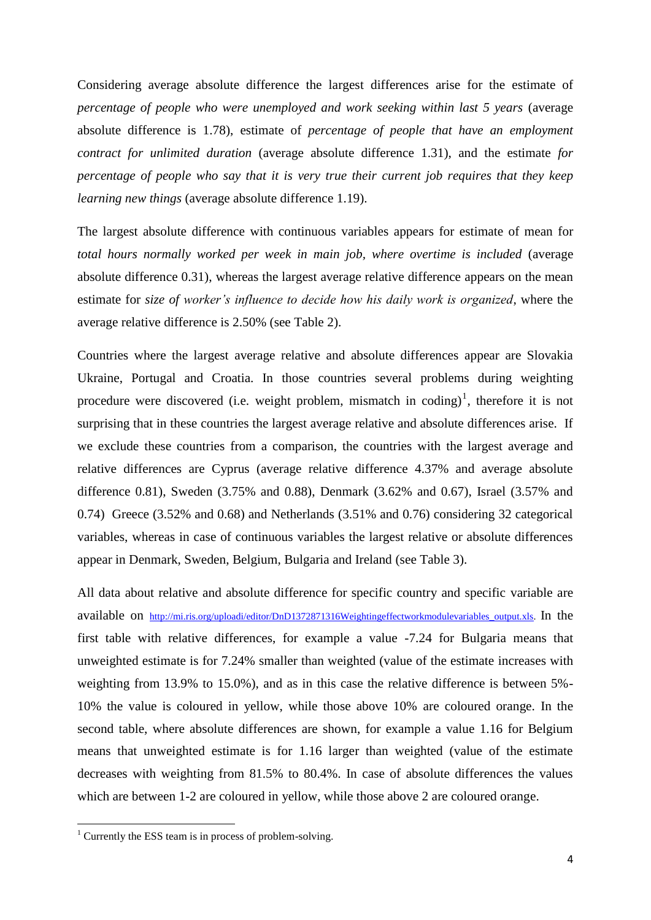Considering average absolute difference the largest differences arise for the estimate of *percentage of people who were unemployed and work seeking within last 5 years* (average absolute difference is 1.78), estimate of *percentage of people that have an employment contract for unlimited duration* (average absolute difference 1.31), and the estimate *for percentage of people who say that it is very true their current job requires that they keep learning new things* (average absolute difference 1.19).

The largest absolute difference with continuous variables appears for estimate of mean for *total hours normally worked per week in main job, where overtime is included* (average absolute difference 0.31), whereas the largest average relative difference appears on the mean estimate for *size of worker's influence to decide how his daily work is organized*, where the average relative difference is 2.50% (see Table 2).

Countries where the largest average relative and absolute differences appear are Slovakia Ukraine, Portugal and Croatia. In those countries several problems during weighting procedure were discovered (i.e. weight problem, mismatch in coding)<sup>1</sup>, therefore it is not surprising that in these countries the largest average relative and absolute differences arise. If we exclude these countries from a comparison, the countries with the largest average and relative differences are Cyprus (average relative difference 4.37% and average absolute difference 0.81), Sweden (3.75% and 0.88), Denmark (3.62% and 0.67), Israel (3.57% and 0.74) Greece (3.52% and 0.68) and Netherlands (3.51% and 0.76) considering 32 categorical variables, whereas in case of continuous variables the largest relative or absolute differences appear in Denmark, Sweden, Belgium, Bulgaria and Ireland (see Table 3).

All data about relative and absolute difference for specific country and specific variable are available on [http://mi.ris.org/uploadi/editor/DnD1372871316Weightingeffectworkmodulevariables\\_output.xls.](http://mi.ris.org/uploadi/editor/DnD1372871316Weightingeffectworkmodulevariables_output.xls) In the first table with relative differences, for example a value -7.24 for Bulgaria means that unweighted estimate is for 7.24% smaller than weighted (value of the estimate increases with weighting from 13.9% to 15.0%), and as in this case the relative difference is between 5%- 10% the value is coloured in yellow, while those above 10% are coloured orange. In the second table, where absolute differences are shown, for example a value 1.16 for Belgium means that unweighted estimate is for 1.16 larger than weighted (value of the estimate decreases with weighting from 81.5% to 80.4%. In case of absolute differences the values which are between 1-2 are coloured in yellow, while those above 2 are coloured orange.

**.** 

 $1$  Currently the ESS team is in process of problem-solving.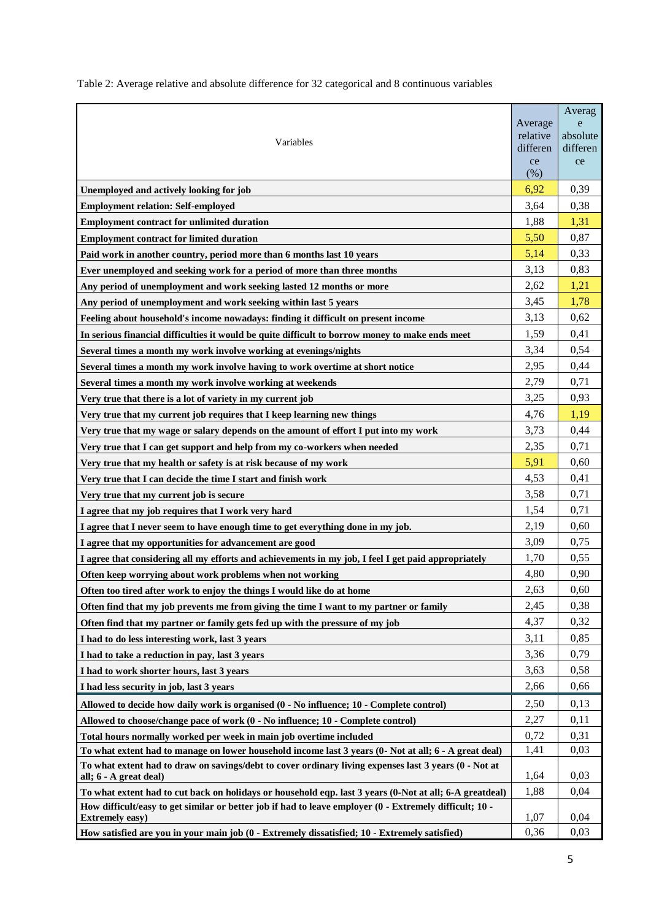Table 2: Average relative and absolute difference for 32 categorical and 8 continuous variables

|                                                                                                                                   | Average              | Averag<br>e          |
|-----------------------------------------------------------------------------------------------------------------------------------|----------------------|----------------------|
| Variables                                                                                                                         | relative<br>differen | absolute<br>differen |
|                                                                                                                                   | ce                   | ce                   |
|                                                                                                                                   | (% )                 |                      |
| Unemployed and actively looking for job                                                                                           | 6,92                 | 0,39                 |
| <b>Employment relation: Self-employed</b>                                                                                         | 3,64                 | 0,38                 |
| <b>Employment contract for unlimited duration</b>                                                                                 | 1,88                 | 1,31                 |
| <b>Employment contract for limited duration</b>                                                                                   | 5,50                 | 0,87                 |
| Paid work in another country, period more than 6 months last 10 years                                                             | 5,14                 | 0,33                 |
| Ever unemployed and seeking work for a period of more than three months                                                           | 3,13                 | 0,83                 |
| Any period of unemployment and work seeking lasted 12 months or more                                                              | 2,62                 | 1,21                 |
| Any period of unemployment and work seeking within last 5 years                                                                   | 3,45                 | 1,78                 |
| Feeling about household's income nowadays: finding it difficult on present income                                                 | 3,13                 | 0,62                 |
| In serious financial difficulties it would be quite difficult to borrow money to make ends meet                                   | 1,59                 | 0,41                 |
| Several times a month my work involve working at evenings/nights                                                                  | 3,34                 | 0,54                 |
| Several times a month my work involve having to work overtime at short notice                                                     | 2,95                 | 0,44                 |
| Several times a month my work involve working at weekends                                                                         | 2,79                 | 0,71                 |
| Very true that there is a lot of variety in my current job                                                                        | 3,25                 | 0,93                 |
| Very true that my current job requires that I keep learning new things                                                            | 4,76                 | 1,19                 |
| Very true that my wage or salary depends on the amount of effort I put into my work                                               | 3,73                 | 0,44                 |
| Very true that I can get support and help from my co-workers when needed                                                          | 2,35                 | 0,71                 |
| Very true that my health or safety is at risk because of my work                                                                  | 5,91                 | 0,60                 |
| Very true that I can decide the time I start and finish work                                                                      | 4,53                 | 0,41                 |
| Very true that my current job is secure                                                                                           | 3,58                 | 0,71                 |
| I agree that my job requires that I work very hard                                                                                | 1,54                 | 0,71                 |
| I agree that I never seem to have enough time to get everything done in my job.                                                   | 2,19                 | 0,60                 |
| I agree that my opportunities for advancement are good                                                                            | 3,09                 | 0,75                 |
| I agree that considering all my efforts and achievements in my job, I feel I get paid appropriately                               | 1,70                 | 0,55                 |
| Often keep worrying about work problems when not working                                                                          | 4,80                 | 0,90                 |
| Often too tired after work to enjoy the things I would like do at home                                                            | 2.63                 | 0,60                 |
| Often find that my job prevents me from giving the time I want to my partner or family                                            | 2,45                 | 0,38                 |
| Often find that my partner or family gets fed up with the pressure of my job                                                      | 4,37                 | 0,32                 |
| I had to do less interesting work, last 3 years                                                                                   | 3,11                 | 0,85                 |
| I had to take a reduction in pay, last 3 years                                                                                    | 3,36                 | 0,79                 |
| I had to work shorter hours, last 3 years                                                                                         | 3,63                 | 0,58                 |
| I had less security in job, last 3 years                                                                                          | 2,66                 | 0,66                 |
| Allowed to decide how daily work is organised (0 - No influence; 10 - Complete control)                                           | 2,50                 | 0,13                 |
| Allowed to choose/change pace of work (0 - No influence; 10 - Complete control)                                                   | 2,27                 | 0,11                 |
| Total hours normally worked per week in main job overtime included                                                                | 0,72                 | 0,31                 |
| To what extent had to manage on lower household income last 3 years (0- Not at all; 6 - A great deal)                             | 1,41                 | 0,03                 |
| To what extent had to draw on savings/debt to cover ordinary living expenses last 3 years (0 - Not at<br>all; 6 - A great deal)   | 1,64                 | 0,03                 |
| To what extent had to cut back on holidays or household eqp. last 3 years (0-Not at all; 6-A greatdeal)                           | 1,88                 | 0,04                 |
| How difficult/easy to get similar or better job if had to leave employer (0 - Extremely difficult; 10 -<br><b>Extremely easy)</b> | 1,07                 | 0,04                 |
| How satisfied are you in your main job (0 - Extremely dissatisfied; 10 - Extremely satisfied)                                     | 0,36                 | 0,03                 |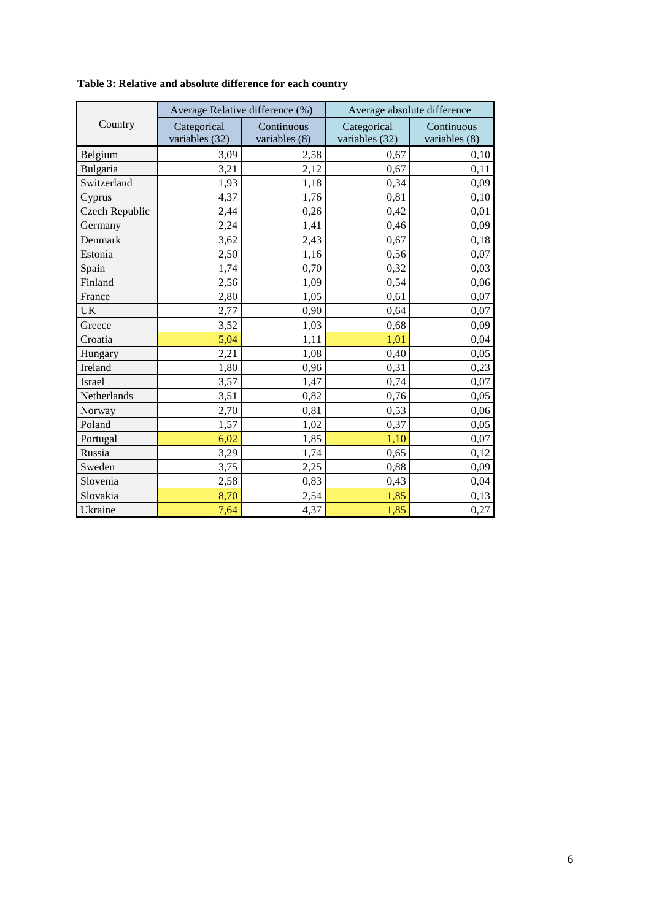|                | Average Relative difference (%) |                             | Average absolute difference   |                               |  |  |
|----------------|---------------------------------|-----------------------------|-------------------------------|-------------------------------|--|--|
| Country        | Categorical<br>variables (32)   | Continuous<br>variables (8) | Categorical<br>variables (32) | Continuous<br>variables $(8)$ |  |  |
| Belgium        | 3,09                            | 2,58                        | 0,67                          | 0,10                          |  |  |
| Bulgaria       | 3,21                            | 2,12                        | 0,67                          | 0,11                          |  |  |
| Switzerland    | 1,93                            | 1,18                        | 0,34                          | 0,09                          |  |  |
| Cyprus         | 4,37                            | 1,76                        | 0,81                          | 0,10                          |  |  |
| Czech Republic | 2,44                            | 0,26                        | 0,42                          | 0,01                          |  |  |
| Germany        | 2,24                            | 1,41                        | 0,46                          | 0,09                          |  |  |
| Denmark        | 3,62                            | 2,43                        | 0,67                          | 0,18                          |  |  |
| Estonia        | 2,50                            | 1,16                        | 0,56                          | 0,07                          |  |  |
| Spain          | 1,74                            | 0,70                        | 0,32                          | 0,03                          |  |  |
| Finland        | 2,56                            | 1,09                        | 0,54                          | 0,06                          |  |  |
| France         | 2,80                            | 1,05                        | 0,61                          | 0,07                          |  |  |
| <b>UK</b>      | 2,77                            | 0,90                        | 0,64                          | 0,07                          |  |  |
| Greece         | 3,52                            | 1,03                        | 0,68                          | 0,09                          |  |  |
| Croatia        | 5,04                            | 1,11                        | 1,01                          | 0,04                          |  |  |
| Hungary        | 2,21                            | 1,08                        | 0,40                          | 0,05                          |  |  |
| Ireland        | 1,80                            | 0,96                        | 0,31                          | 0,23                          |  |  |
| <b>Israel</b>  | 3,57                            | 1,47                        | 0,74                          | 0,07                          |  |  |
| Netherlands    | 3,51                            | 0,82                        | 0,76                          | 0,05                          |  |  |
| Norway         | 2,70                            | 0,81                        | 0,53                          | 0,06                          |  |  |
| Poland         | 1,57                            | 1,02                        | 0,37                          | 0,05                          |  |  |
| Portugal       | 6,02                            | 1,85                        | 1,10                          | 0,07                          |  |  |
| Russia         | 3,29                            | 1,74                        | 0,65                          | 0,12                          |  |  |
| Sweden         | 3,75                            | 2,25                        | 0,88                          | 0,09                          |  |  |
| Slovenia       | 2,58                            | 0,83                        | 0,43                          | 0,04                          |  |  |
| Slovakia       | 8,70                            | 2,54                        | 1,85                          | 0,13                          |  |  |
| Ukraine        | 7,64                            | 4,37                        | 1,85                          | 0,27                          |  |  |

**Table 3: Relative and absolute difference for each country**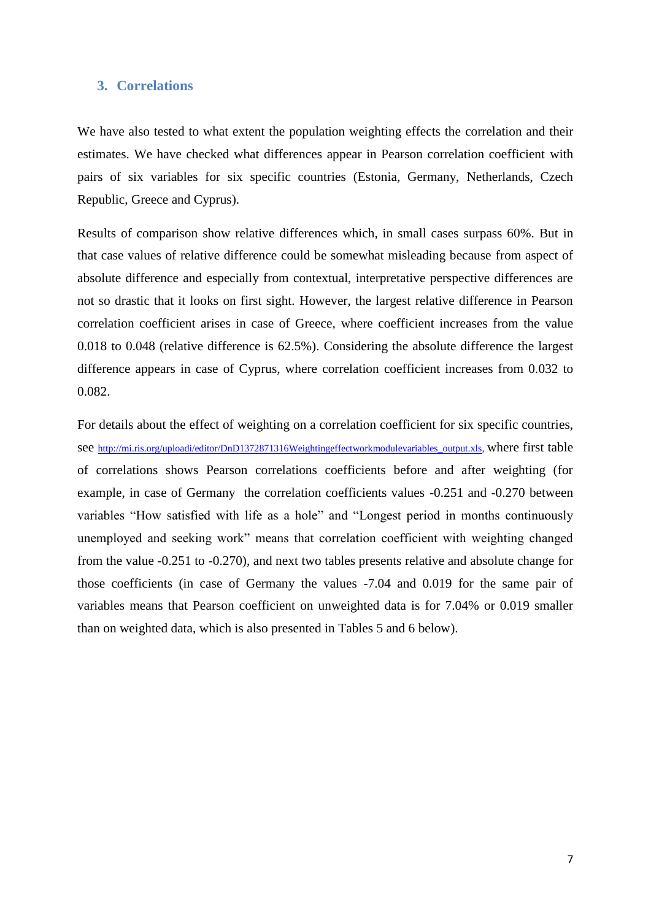#### **3. Correlations**

We have also tested to what extent the population weighting effects the correlation and their estimates. We have checked what differences appear in Pearson correlation coefficient with pairs of six variables for six specific countries (Estonia, Germany, Netherlands, Czech Republic, Greece and Cyprus).

Results of comparison show relative differences which, in small cases surpass 60%. But in that case values of relative difference could be somewhat misleading because from aspect of absolute difference and especially from contextual, interpretative perspective differences are not so drastic that it looks on first sight. However, the largest relative difference in Pearson correlation coefficient arises in case of Greece, where coefficient increases from the value 0.018 to 0.048 (relative difference is 62.5%). Considering the absolute difference the largest difference appears in case of Cyprus, where correlation coefficient increases from 0.032 to 0.082.

For details about the effect of weighting on a correlation coefficient for six specific countries, see [http://mi.ris.org/uploadi/editor/DnD1372871316Weightingeffectworkmodulevariables\\_output.xls,](http://mi.ris.org/uploadi/editor/DnD1372871316Weightingeffectworkmodulevariables_output.xls) where first table of correlations shows Pearson correlations coefficients before and after weighting (for example, in case of Germany the correlation coefficients values -0.251 and -0.270 between variables "How satisfied with life as a hole" and "Longest period in months continuously unemployed and seeking work" means that correlation coefficient with weighting changed from the value -0.251 to -0.270), and next two tables presents relative and absolute change for those coefficients (in case of Germany the values -7.04 and 0.019 for the same pair of variables means that Pearson coefficient on unweighted data is for 7.04% or 0.019 smaller than on weighted data, which is also presented in Tables 5 and 6 below).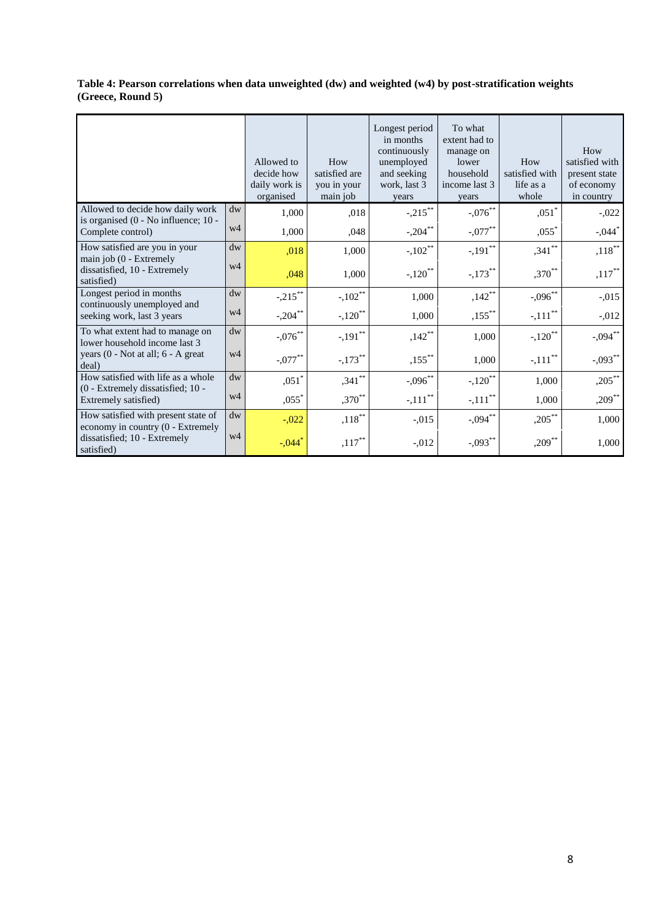**Table 4: Pearson correlations when data unweighted (dw) and weighted (w4) by post-stratification weights (Greece, Round 5)**

|                                                                          |                        | Allowed to<br>decide how<br>daily work is<br>organised | How<br>satisfied are<br>you in your<br>main job | Longest period<br>in months<br>continuously<br>unemployed<br>and seeking<br>work, last 3<br>years | To what<br>extent had to<br>manage on<br>lower<br>household<br>income last 3<br>years | How<br>satisfied with<br>life as a<br>whole | How<br>satisfied with<br>present state<br>of economy<br>in country |
|--------------------------------------------------------------------------|------------------------|--------------------------------------------------------|-------------------------------------------------|---------------------------------------------------------------------------------------------------|---------------------------------------------------------------------------------------|---------------------------------------------|--------------------------------------------------------------------|
| Allowed to decide how daily work<br>is organised (0 - No influence; 10 - | $\mathrm{d}\mathrm{w}$ | 1,000                                                  | ,018                                            | $-.215***$                                                                                        | $-.076$ **                                                                            | $,051$ <sup>*</sup>                         | $-0.022$                                                           |
| Complete control)                                                        | w4                     | 1,000                                                  | .048                                            | $-.204$ **                                                                                        | $-.077$ **                                                                            | $,055$ <sup>*</sup>                         | $-.044$ <sup>*</sup>                                               |
| How satisfied are you in your<br>main job (0 - Extremely                 | $d$ w                  | .018                                                   | 1,000                                           | $-.102**$                                                                                         | $-.191$ <sup>**</sup>                                                                 | $,341$ **                                   | $,118***$                                                          |
| dissatisfied, 10 - Extremely<br>satisfied)                               | w4                     | .048                                                   | 1.000                                           | $-.120$ <sup>**</sup>                                                                             | $-.173$ <sup>**</sup>                                                                 | $,370***$                                   | $,117***$                                                          |
| Longest period in months<br>continuously unemployed and                  | $\mathrm{d}\mathrm{w}$ | $-.215***$                                             | $-.102$ <sup>**</sup>                           | 1,000                                                                                             | $,142***$                                                                             | $-.096$ **                                  | $-0.015$                                                           |
| seeking work, last 3 years                                               | w4                     | $-.204$ **                                             | $-.120$ <sup>**</sup>                           | 1,000                                                                                             | $,155***$                                                                             | $-.111$ <sup>**</sup>                       | $-0.012$                                                           |
| To what extent had to manage on<br>lower household income last 3         | dw                     | $-.076$ **                                             | $-.191$ <sup>**</sup>                           | $,142$ **                                                                                         | 1,000                                                                                 | $-.120$ <sup>**</sup>                       | $-.094***$                                                         |
| years (0 - Not at all; 6 - A great<br>deal)                              | w4                     | $-.077***$                                             | $-.173$ <sup>**</sup>                           | $,155***$                                                                                         | 1,000                                                                                 | $-.111$ <sup>**</sup>                       | $-.093***$                                                         |
| How satisfied with life as a whole<br>(0 - Extremely dissatisfied: 10 -  | $\mathrm{d}\mathbf{w}$ | $,051^*$                                               | $,341$ **                                       | $-.096$ **                                                                                        | $-.120$ <sup>**</sup>                                                                 | 1,000                                       | $,205***$                                                          |
| Extremely satisfied)                                                     | w <sub>4</sub>         | $,055$ <sup>*</sup>                                    | $,370***$                                       | $-.111$ <sup>**</sup>                                                                             | $-.111$ <sup>**</sup>                                                                 | 1,000                                       | $,209$ **                                                          |
| How satisfied with present state of<br>economy in country (0 - Extremely | dw                     | $-.022$                                                | $,118***$                                       | $-.015$                                                                                           | $-.094$ **                                                                            | $,205***$                                   | 1,000                                                              |
| dissatisfied; 10 - Extremely<br>satisfied)                               | w4                     | $-.044$ <sup>*</sup>                                   | $,117***$                                       | $-.012$                                                                                           | $-.093***$                                                                            | $,209$ **                                   | 1,000                                                              |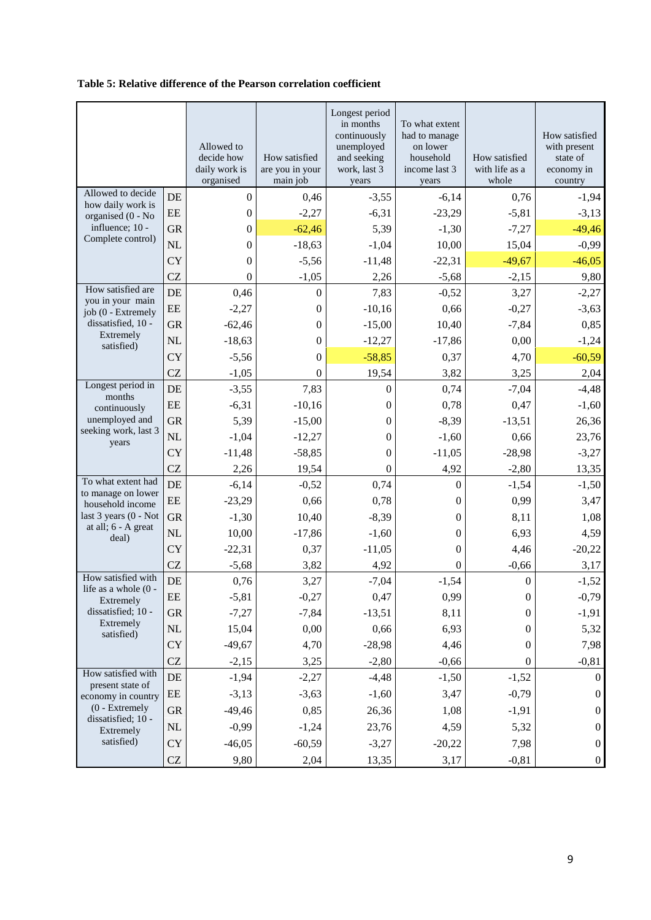#### **Table 5: Relative difference of the Pearson correlation coefficient**

|                                            |                     | Allowed to<br>decide how<br>daily work is<br>organised | How satisfied<br>are you in your<br>main job | Longest period<br>in months<br>continuously<br>unemployed<br>and seeking<br>work, last 3<br>years | To what extent<br>had to manage<br>on lower<br>household<br>income last 3<br>years | How satisfied<br>with life as a<br>whole | How satisfied<br>with present<br>state of<br>economy in<br>country |
|--------------------------------------------|---------------------|--------------------------------------------------------|----------------------------------------------|---------------------------------------------------------------------------------------------------|------------------------------------------------------------------------------------|------------------------------------------|--------------------------------------------------------------------|
| Allowed to decide                          | DE                  | $\boldsymbol{0}$                                       | 0,46                                         | $-3,55$                                                                                           | $-6,14$                                                                            | 0,76                                     | $-1,94$                                                            |
| how daily work is<br>organised (0 - No     | EE                  | $\boldsymbol{0}$                                       | $-2,27$                                      | $-6,31$                                                                                           | $-23,29$                                                                           | $-5,81$                                  | $-3,13$                                                            |
| influence; 10 -                            | <b>GR</b>           | $\boldsymbol{0}$                                       | $-62,46$                                     | 5,39                                                                                              | $-1,30$                                                                            | $-7,27$                                  | $-49,46$                                                           |
| Complete control)                          | NL                  | 0                                                      | $-18,63$                                     | $-1,04$                                                                                           | 10,00                                                                              | 15,04                                    | $-0,99$                                                            |
|                                            | <b>CY</b>           | $\overline{0}$                                         | $-5,56$                                      | $-11,48$                                                                                          | $-22,31$                                                                           | $-49,67$                                 | $-46,05$                                                           |
|                                            | <b>CZ</b>           | $\boldsymbol{0}$                                       | $-1,05$                                      | 2,26                                                                                              | $-5,68$                                                                            | $-2,15$                                  | 9,80                                                               |
| How satisfied are                          | DE                  | 0,46                                                   | $\boldsymbol{0}$                             | 7,83                                                                                              | $-0,52$                                                                            | 3,27                                     | $-2,27$                                                            |
| you in your main<br>job (0 - Extremely     | $\rm{EE}$           | $-2,27$                                                | $\boldsymbol{0}$                             | $-10,16$                                                                                          | 0,66                                                                               | $-0,27$                                  | $-3,63$                                                            |
| dissatisfied, 10 -                         | <b>GR</b>           | $-62,46$                                               | $\boldsymbol{0}$                             | $-15,00$                                                                                          | 10,40                                                                              | $-7,84$                                  | 0,85                                                               |
| Extremely<br>satisfied)                    | <b>NL</b>           | $-18,63$                                               | $\boldsymbol{0}$                             | $-12,27$                                                                                          | $-17,86$                                                                           | 0,00                                     | $-1,24$                                                            |
|                                            | <b>CY</b>           | $-5,56$                                                | $\boldsymbol{0}$                             | $-58,85$                                                                                          | 0,37                                                                               | 4,70                                     | $-60,59$                                                           |
|                                            | <b>CZ</b>           | $-1,05$                                                | $\theta$                                     | 19,54                                                                                             | 3,82                                                                               | 3,25                                     | 2,04                                                               |
| Longest period in<br>months                | DE                  | $-3,55$                                                | 7,83                                         | $\boldsymbol{0}$                                                                                  | 0,74                                                                               | $-7,04$                                  | $-4,48$                                                            |
| continuously                               | EE                  | $-6,31$                                                | $-10,16$                                     | $\boldsymbol{0}$                                                                                  | 0,78                                                                               | 0,47                                     | $-1,60$                                                            |
| unemployed and                             | <b>GR</b>           | 5,39                                                   | $-15,00$                                     | $\boldsymbol{0}$                                                                                  | $-8,39$                                                                            | $-13,51$                                 | 26,36                                                              |
| seeking work, last 3<br>years              | NL                  | $-1,04$                                                | $-12,27$                                     | $\boldsymbol{0}$                                                                                  | $-1,60$                                                                            | 0,66                                     | 23,76                                                              |
|                                            | <b>CY</b>           | $-11,48$                                               | $-58,85$                                     | $\boldsymbol{0}$                                                                                  | $-11,05$                                                                           | $-28,98$                                 | $-3,27$                                                            |
|                                            | <b>CZ</b>           | 2,26                                                   | 19,54                                        | $\boldsymbol{0}$                                                                                  | 4,92                                                                               | $-2,80$                                  | 13,35                                                              |
| To what extent had<br>to manage on lower   | DE                  | $-6,14$                                                | $-0,52$                                      | 0,74                                                                                              | $\boldsymbol{0}$                                                                   | $-1,54$                                  | $-1,50$                                                            |
| household income                           | EE                  | $-23,29$                                               | 0,66                                         | 0,78                                                                                              | 0                                                                                  | 0,99                                     | 3,47                                                               |
| last 3 years (0 - Not                      | <b>GR</b>           | $-1,30$                                                | 10,40                                        | $-8,39$                                                                                           | $\boldsymbol{0}$                                                                   | 8,11                                     | 1,08                                                               |
| at all; 6 - A great<br>deal)               | NL                  | 10,00                                                  | $-17,86$                                     | $-1,60$                                                                                           | $\boldsymbol{0}$                                                                   | 6,93                                     | 4,59                                                               |
|                                            | <b>CY</b>           | $-22,31$                                               | 0,37                                         | $-11,05$                                                                                          | $\boldsymbol{0}$                                                                   | 4,46                                     | $-20,22$                                                           |
|                                            | <b>CZ</b>           | $-5,68$                                                | 3,82                                         | 4,92                                                                                              | $\boldsymbol{0}$                                                                   | $-0,66$                                  | 3,17                                                               |
| How satisfied with<br>life as a whole (0 - | DE                  | 0,76                                                   | 3,27                                         | $-7,04$                                                                                           | $-1,54$                                                                            | $\boldsymbol{0}$                         | $-1,52$                                                            |
| Extremely                                  | EE                  | $-5,81$                                                | $-0,27$                                      | 0,47                                                                                              | 0,99                                                                               | $\boldsymbol{0}$                         | $-0,79$                                                            |
| dissatisfied; 10 -                         | <b>GR</b>           | $-7,27$                                                | $-7,84$                                      | $-13,51$                                                                                          | 8,11                                                                               | $\boldsymbol{0}$                         | $-1,91$                                                            |
| Extremely<br>satisfied)                    | <b>NL</b>           | 15,04                                                  | 0,00                                         | 0,66                                                                                              | 6,93                                                                               | $\boldsymbol{0}$                         | 5,32                                                               |
|                                            | <b>CY</b>           | $-49,67$                                               | 4,70                                         | $-28,98$                                                                                          | 4,46                                                                               | $\boldsymbol{0}$                         | 7,98                                                               |
|                                            | <b>CZ</b>           | $-2,15$                                                | 3,25                                         | $-2,80$                                                                                           | $-0,66$                                                                            | $\boldsymbol{0}$                         | $-0,81$                                                            |
| How satisfied with<br>present state of     | DE                  | $-1,94$                                                | $-2,27$                                      | $-4,48$                                                                                           | $-1,50$                                                                            | $-1,52$                                  | $\Omega$                                                           |
| economy in country                         | EE                  | $-3,13$                                                | $-3,63$                                      | $-1,60$                                                                                           | 3,47                                                                               | $-0,79$                                  | $\boldsymbol{0}$                                                   |
| $(0 - Extremely)$                          | <b>GR</b>           | $-49,46$                                               | 0,85                                         | 26,36                                                                                             | 1,08                                                                               | $-1,91$                                  | $\boldsymbol{0}$                                                   |
| dissatisfied; 10 -<br>Extremely            | NL                  | $-0,99$                                                | $-1,24$                                      | 23,76                                                                                             | 4,59                                                                               | 5,32                                     | $\boldsymbol{0}$                                                   |
| satisfied)                                 | <b>CY</b>           | $-46,05$                                               | $-60,59$                                     | $-3,27$                                                                                           | $-20,22$                                                                           | 7,98                                     | $\boldsymbol{0}$                                                   |
|                                            | $\operatorname{CZ}$ | 9,80                                                   | 2,04                                         | 13,35                                                                                             | 3,17                                                                               | $-0,81$                                  | $\boldsymbol{0}$                                                   |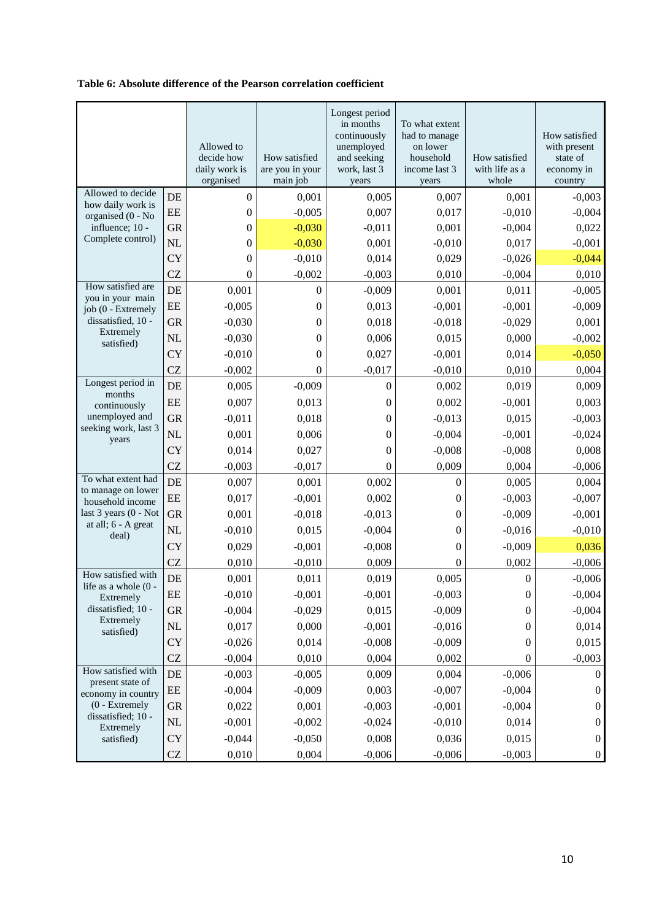#### **Table 6: Absolute difference of the Pearson correlation coefficient**

|                                        |           | Allowed to<br>decide how<br>daily work is<br>organised | How satisfied<br>are you in your<br>main job | Longest period<br>in months<br>continuously<br>unemployed<br>and seeking<br>work, last 3<br>years | To what extent<br>had to manage<br>on lower<br>household<br>income last 3<br>years | How satisfied<br>with life as a<br>whole | How satisfied<br>with present<br>state of<br>economy in<br>country |
|----------------------------------------|-----------|--------------------------------------------------------|----------------------------------------------|---------------------------------------------------------------------------------------------------|------------------------------------------------------------------------------------|------------------------------------------|--------------------------------------------------------------------|
| Allowed to decide                      | DE        | $\boldsymbol{0}$                                       | 0,001                                        | 0,005                                                                                             | 0,007                                                                              | 0,001                                    | $-0,003$                                                           |
| how daily work is                      | EE        | $\boldsymbol{0}$                                       | $-0,005$                                     | 0,007                                                                                             | 0,017                                                                              | $-0,010$                                 | $-0,004$                                                           |
| organised (0 - No<br>influence; 10 -   | <b>GR</b> | $\boldsymbol{0}$                                       | $-0,030$                                     | $-0,011$                                                                                          | 0,001                                                                              | $-0,004$                                 | 0,022                                                              |
| Complete control)                      | <b>NL</b> | $\boldsymbol{0}$                                       | $-0,030$                                     | 0,001                                                                                             | $-0,010$                                                                           | 0,017                                    | $-0,001$                                                           |
|                                        | <b>CY</b> | $\theta$                                               | $-0,010$                                     | 0,014                                                                                             | 0,029                                                                              | $-0,026$                                 | $-0,044$                                                           |
|                                        | <b>CZ</b> | $\boldsymbol{0}$                                       | $-0,002$                                     | $-0,003$                                                                                          | 0,010                                                                              | $-0,004$                                 | 0,010                                                              |
| How satisfied are                      | DE        | 0,001                                                  | $\boldsymbol{0}$                             | $-0,009$                                                                                          | 0,001                                                                              | 0,011                                    | $-0,005$                                                           |
| you in your main<br>job (0 - Extremely | EE        | $-0,005$                                               | $\boldsymbol{0}$                             | 0,013                                                                                             | $-0,001$                                                                           | $-0,001$                                 | $-0,009$                                                           |
| dissatisfied, 10 -                     | <b>GR</b> | $-0,030$                                               | $\boldsymbol{0}$                             | 0,018                                                                                             | $-0,018$                                                                           | $-0,029$                                 | 0,001                                                              |
| Extremely<br>satisfied)                | <b>NL</b> | $-0,030$                                               | $\boldsymbol{0}$                             | 0,006                                                                                             | 0,015                                                                              | 0,000                                    | $-0,002$                                                           |
|                                        | <b>CY</b> | $-0,010$                                               | $\boldsymbol{0}$                             | 0,027                                                                                             | $-0,001$                                                                           | 0,014                                    | $-0,050$                                                           |
|                                        | <b>CZ</b> | $-0,002$                                               | $\overline{0}$                               | $-0,017$                                                                                          | $-0,010$                                                                           | 0,010                                    | 0,004                                                              |
| Longest period in<br>months            | DE        | 0,005                                                  | $-0,009$                                     | $\boldsymbol{0}$                                                                                  | 0,002                                                                              | 0,019                                    | 0,009                                                              |
| continuously                           | EE        | 0,007                                                  | 0,013                                        | $\boldsymbol{0}$                                                                                  | 0,002                                                                              | $-0,001$                                 | 0,003                                                              |
| unemployed and                         | <b>GR</b> | $-0,011$                                               | 0,018                                        | $\boldsymbol{0}$                                                                                  | $-0,013$                                                                           | 0,015                                    | $-0,003$                                                           |
| seeking work, last 3<br>years          | <b>NL</b> | 0,001                                                  | 0,006                                        | $\boldsymbol{0}$                                                                                  | $-0,004$                                                                           | $-0,001$                                 | $-0,024$                                                           |
|                                        | <b>CY</b> | 0,014                                                  | 0,027                                        | $\boldsymbol{0}$                                                                                  | $-0,008$                                                                           | $-0,008$                                 | 0,008                                                              |
|                                        | CZ        | $-0,003$                                               | $-0,017$                                     | $\boldsymbol{0}$                                                                                  | 0,009                                                                              | 0,004                                    | $-0,006$                                                           |
| To what extent had                     | DE        | 0,007                                                  | 0,001                                        | 0,002                                                                                             | $\boldsymbol{0}$                                                                   | 0,005                                    | 0,004                                                              |
| to manage on lower<br>household income | EE        | 0,017                                                  | $-0,001$                                     | 0,002                                                                                             | $\boldsymbol{0}$                                                                   | $-0,003$                                 | $-0,007$                                                           |
| last 3 years (0 - Not                  | <b>GR</b> | 0,001                                                  | $-0,018$                                     | $-0,013$                                                                                          | $\boldsymbol{0}$                                                                   | $-0,009$                                 | $-0,001$                                                           |
| at all; 6 - A great<br>deal)           | <b>NL</b> | $-0,010$                                               | 0,015                                        | $-0,004$                                                                                          | $\boldsymbol{0}$                                                                   | $-0,016$                                 | $-0,010$                                                           |
|                                        | <b>CY</b> | 0,029                                                  | $-0,001$                                     | $-0,008$                                                                                          | $\boldsymbol{0}$                                                                   | $-0,009$                                 | 0,036                                                              |
|                                        | <b>CZ</b> | 0,010                                                  | $-0,010$                                     | 0,009                                                                                             | $\boldsymbol{0}$                                                                   | 0,002                                    | $-0,006$                                                           |
| How satisfied with                     | DE        | 0,001                                                  | 0,011                                        | 0,019                                                                                             | 0,005                                                                              | $\boldsymbol{0}$                         | $-0,006$                                                           |
| life as a whole $(0 -$<br>Extremely    | EE        | $-0,010$                                               | $-0,001$                                     | $-0,001$                                                                                          | $-0,003$                                                                           | $\boldsymbol{0}$                         | $-0,004$                                                           |
| dissatisfied; 10 -                     | <b>GR</b> | $-0,004$                                               | $-0,029$                                     | 0,015                                                                                             | $-0,009$                                                                           | $\boldsymbol{0}$                         | $-0,004$                                                           |
| Extremely<br>satisfied)                | NL        | 0,017                                                  | 0,000                                        | $-0,001$                                                                                          | $-0,016$                                                                           | $\boldsymbol{0}$                         | 0,014                                                              |
|                                        | <b>CY</b> | $-0,026$                                               | 0,014                                        | $-0,008$                                                                                          | $-0,009$                                                                           | $\boldsymbol{0}$                         | 0,015                                                              |
|                                        | CZ        | $-0,004$                                               | 0,010                                        | 0,004                                                                                             | 0,002                                                                              | $\boldsymbol{0}$                         | $-0,003$                                                           |
| How satisfied with<br>present state of | DE        | $-0,003$                                               | $-0,005$                                     | 0,009                                                                                             | 0,004                                                                              | $-0,006$                                 | $\overline{0}$                                                     |
| economy in country                     | EE        | $-0,004$                                               | $-0,009$                                     | 0,003                                                                                             | $-0,007$                                                                           | $-0,004$                                 | $\boldsymbol{0}$                                                   |
| $(0 - Extremely)$                      | <b>GR</b> | 0,022                                                  | 0,001                                        | $-0,003$                                                                                          | $-0,001$                                                                           | $-0,004$                                 | $\boldsymbol{0}$                                                   |
| dissatisfied; 10 -<br>Extremely        | <b>NL</b> | $-0,001$                                               | $-0,002$                                     | $-0,024$                                                                                          | $-0,010$                                                                           | 0,014                                    | $\boldsymbol{0}$                                                   |
| satisfied)                             | <b>CY</b> | $-0,044$                                               | $-0,050$                                     | 0,008                                                                                             | 0,036                                                                              | 0,015                                    | $\boldsymbol{0}$                                                   |
|                                        | CZ        | 0,010                                                  | 0,004                                        | $-0,006$                                                                                          | $-0,006$                                                                           | $-0,003$                                 | $\boldsymbol{0}$                                                   |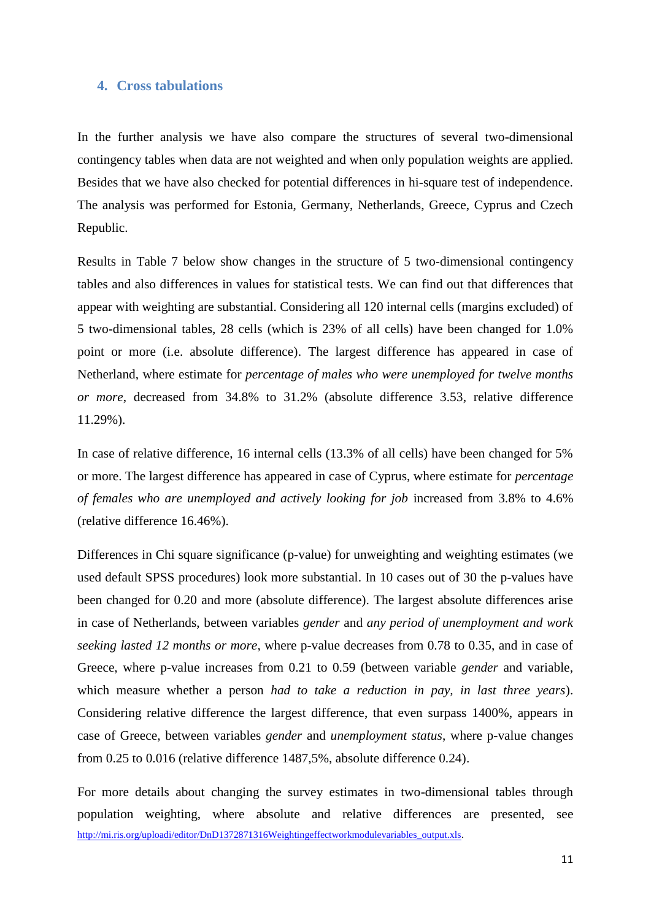#### **4. Cross tabulations**

In the further analysis we have also compare the structures of several two-dimensional contingency tables when data are not weighted and when only population weights are applied. Besides that we have also checked for potential differences in hi-square test of independence. The analysis was performed for Estonia, Germany, Netherlands, Greece, Cyprus and Czech Republic.

Results in Table 7 below show changes in the structure of 5 two-dimensional contingency tables and also differences in values for statistical tests. We can find out that differences that appear with weighting are substantial. Considering all 120 internal cells (margins excluded) of 5 two-dimensional tables, 28 cells (which is 23% of all cells) have been changed for 1.0% point or more (i.e. absolute difference). The largest difference has appeared in case of Netherland, where estimate for *percentage of males who were unemployed for twelve months or more*, decreased from 34.8% to 31.2% (absolute difference 3.53, relative difference 11.29%).

In case of relative difference, 16 internal cells (13.3% of all cells) have been changed for 5% or more. The largest difference has appeared in case of Cyprus, where estimate for *percentage of females who are unemployed and actively looking for job* increased from 3.8% to 4.6% (relative difference 16.46%).

Differences in Chi square significance (p-value) for unweighting and weighting estimates (we used default SPSS procedures) look more substantial. In 10 cases out of 30 the p-values have been changed for 0.20 and more (absolute difference). The largest absolute differences arise in case of Netherlands, between variables *gender* and *any period of unemployment and work seeking lasted 12 months or more*, where p-value decreases from 0.78 to 0.35, and in case of Greece, where p-value increases from 0.21 to 0.59 (between variable *gender* and variable, which measure whether a person *had to take a reduction in pay, in last three years*). Considering relative difference the largest difference, that even surpass 1400%, appears in case of Greece, between variables *gender* and *unemployment status*, where p-value changes from 0.25 to 0.016 (relative difference 1487,5%, absolute difference 0.24).

For more details about changing the survey estimates in two-dimensional tables through population weighting, where absolute and relative differences are presented, see [http://mi.ris.org/uploadi/editor/DnD1372871316Weightingeffectworkmodulevariables\\_output.xls.](http://mi.ris.org/uploadi/editor/DnD1372871316Weightingeffectworkmodulevariables_output.xls)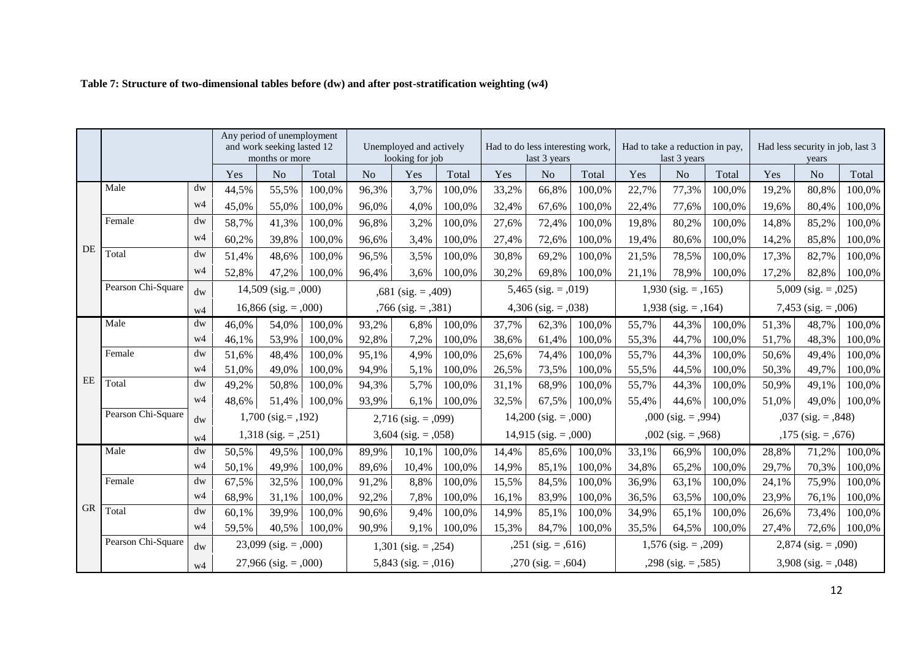|           |                                             |                | Any period of unemployment<br>and work seeking lasted 12<br>months or more |                           | Unemployed and actively<br>looking for job |                          | Had to do less interesting work,<br>last 3 years |                          | Had to take a reduction in pay,<br>last 3 years |                         |                       | Had less security in job, last 3<br>years |                         |                        |                        |                         |        |
|-----------|---------------------------------------------|----------------|----------------------------------------------------------------------------|---------------------------|--------------------------------------------|--------------------------|--------------------------------------------------|--------------------------|-------------------------------------------------|-------------------------|-----------------------|-------------------------------------------|-------------------------|------------------------|------------------------|-------------------------|--------|
|           |                                             |                | Yes                                                                        | N <sub>o</sub>            | Total                                      | N <sub>o</sub>           | Yes                                              | Total                    | Yes                                             | N <sub>o</sub>          | Total                 | Yes                                       | N <sub>o</sub>          | Total                  | Yes                    | N <sub>o</sub>          | Total  |
|           | Male                                        | dw             | 44,5%                                                                      | 55,5%                     | 100,0%                                     | 96,3%                    | 3,7%                                             | 100,0%                   | 33,2%                                           | 66,8%                   | 100,0%                | 22,7%                                     | 77,3%                   | 100,0%                 | 19,2%                  | 80,8%                   | 100,0% |
|           |                                             | w4             | 45,0%                                                                      | 55,0%                     | 100,0%                                     | 96,0%                    | 4,0%                                             | 100,0%                   | 32,4%                                           | 67,6%                   | 100,0%                | 22,4%                                     | 77,6%                   | 100,0%                 | 19,6%                  | 80,4%                   | 100,0% |
|           | Female                                      | dw             | 58,7%                                                                      | 41,3%                     | 100,0%                                     | 96,8%                    | 3,2%                                             | 100,0%                   | 27,6%                                           | 72,4%                   | 100,0%                | 19,8%                                     | 80,2%                   | 100,0%                 | 14,8%                  | 85,2%                   | 100,0% |
|           |                                             | w4             | 60,2%                                                                      | 39,8%                     | 100,0%                                     | 96,6%                    | 3,4%                                             | 100,0%                   | 27,4%                                           | 72,6%                   | 100,0%                | 19,4%                                     | 80,6%                   | 100,0%                 | 14,2%                  | 85,8%                   | 100,0% |
| DE        | Total                                       | dw             | 51,4%                                                                      | 48,6%                     | 100,0%                                     | 96,5%                    | 3,5%                                             | 100,0%                   | 30,8%                                           | 69,2%                   | 100,0%                | 21,5%                                     | 78,5%                   | 100,0%                 | 17,3%                  | 82,7%                   | 100,0% |
|           |                                             | w4             | 52,8%                                                                      | 47,2%                     | 100,0%                                     | 96,4%                    | 3,6%                                             | 100,0%                   | 30,2%                                           | 69,8%                   | 100,0%                | 21,1%                                     | 78,9%                   | 100,0%                 | 17,2%                  | 82,8%                   | 100,0% |
|           | Pearson Chi-Square                          | dw             | $14,509$ (sig. = ,000)                                                     |                           |                                            | $,681$ (sig. = $,409$ )  |                                                  |                          | 5,465 (sig. = $,019$ )                          |                         |                       | $1,930$ (sig. = ,165)                     |                         |                        | 5,009 (sig. = $,025$ ) |                         |        |
|           | $16,866$ (sig. = $,000$ )<br>w <sub>4</sub> |                |                                                                            |                           | $,766$ (sig. = $,381$ )                    |                          |                                                  | $4,306$ (sig. = $,038$ ) |                                                 |                         | $1,938$ (sig. = ,164) |                                           |                         | 7,453 (sig. = $,006$ ) |                        |                         |        |
|           | Male                                        | dw             | 46,0%                                                                      | 54,0%                     | 100,0%                                     | 93,2%                    | 6,8%                                             | 100,0%                   | 37,7%                                           | 62,3%                   | 100,0%                | 55,7%                                     | 44,3%                   | 100,0%                 | 51,3%                  | 48,7%                   | 100,0% |
|           |                                             | w4             | 46,1%                                                                      | 53,9%                     | 100,0%                                     | 92,8%                    | 7,2%                                             | 100,0%                   | 38,6%                                           | 61,4%                   | 100,0%                | 55,3%                                     | 44,7%                   | 100,0%                 | 51,7%                  | 48,3%                   | 100,0% |
|           | Female                                      | $d$ w          | 51,6%                                                                      | 48,4%                     | 100,0%                                     | 95,1%                    | 4,9%                                             | 100,0%                   | 25,6%                                           | 74,4%                   | 100,0%                | 55,7%                                     | 44,3%                   | 100,0%                 | 50,6%                  | 49,4%                   | 100,0% |
|           |                                             | w4             | 51,0%                                                                      | 49,0%                     | 100,0%                                     | 94,9%                    | 5,1%                                             | 100,0%                   | 26,5%                                           | 73,5%                   | 100,0%                | 55,5%                                     | 44,5%                   | 100,0%                 | 50,3%                  | 49,7%                   | 100,0% |
| EE        | Total                                       | dw             | 49,2%                                                                      | 50,8%                     | 100,0%                                     | 94,3%                    | 5,7%                                             | 100,0%                   | 31,1%                                           | 68,9%                   | 100,0%                | 55,7%                                     | 44,3%                   | 100,0%                 | 50,9%                  | 49,1%                   | 100,0% |
|           |                                             | w <sub>4</sub> | 48,6%                                                                      | 51,4%                     | 100,0%                                     | 93,9%                    | 6,1%                                             | 100,0%                   | 32,5%                                           | 67,5%                   | 100,0%                | 55,4%                                     | 44,6%                   | 100,0%                 | 51,0%                  | 49,0%                   | 100,0% |
|           | Pearson Chi-Square                          | $d$ w          |                                                                            | $1,700$ (sig. = ,192)     |                                            | $2,716$ (sig. = $,099$ ) |                                                  | $14,200$ (sig. = ,000)   |                                                 | $,000$ (sig. = $,994$ ) |                       | $,037$ (sig. = $,848$ )                   |                         |                        |                        |                         |        |
|           |                                             | w <sub>4</sub> |                                                                            | $1,318$ (sig. = ,251)     |                                            |                          | $3,604$ (sig. = $,058$ )                         |                          |                                                 | $14,915$ (sig. = ,000)  |                       |                                           | $,002$ (sig. = $,968$ ) |                        |                        | $,175$ (sig. = $,676$ ) |        |
|           | Male                                        | $d$ w          | 50,5%                                                                      | 49,5%                     | 100,0%                                     | 89,9%                    | 10,1%                                            | 100,0%                   | 14,4%                                           | 85,6%                   | 100,0%                | 33,1%                                     | 66,9%                   | 100,0%                 | 28,8%                  | 71,2%                   | 100,0% |
|           |                                             | w4             | 50,1%                                                                      | 49,9%                     | 100,0%                                     | 89,6%                    | 10,4%                                            | 100,0%                   | 14,9%                                           | 85,1%                   | 100,0%                | 34,8%                                     | 65,2%                   | 100,0%                 | 29,7%                  | 70,3%                   | 100,0% |
|           | Female                                      | $d$ w          | 67,5%                                                                      | 32,5%                     | 100,0%                                     | 91,2%                    | 8,8%                                             | 100,0%                   | 15,5%                                           | 84,5%                   | 100,0%                | 36,9%                                     | 63,1%                   | 100,0%                 | 24,1%                  | 75,9%                   | 100,0% |
|           |                                             | w4             | 68,9%                                                                      | 31,1%                     | 100,0%                                     | 92,2%                    | 7,8%                                             | 100,0%                   | 16,1%                                           | 83,9%                   | 100,0%                | 36,5%                                     | 63,5%                   | 100,0%                 | 23,9%                  | 76,1%                   | 100,0% |
| <b>GR</b> | Total                                       | dw             | 60,1%                                                                      | 39,9%                     | 100,0%                                     | 90,6%                    | 9,4%                                             | 100,0%                   | 14,9%                                           | 85,1%                   | 100,0%                | 34,9%                                     | 65,1%                   | 100,0%                 | 26,6%                  | 73,4%                   | 100,0% |
|           |                                             | w4             | 59,5%                                                                      | 40,5%                     | 100,0%                                     | 90,9%                    | 9,1%                                             | 100,0%                   | 15,3%                                           | 84,7%                   | 100,0%                | 35,5%                                     | 64,5%                   | 100,0%                 | 27,4%                  | 72,6%                   | 100,0% |
|           | Pearson Chi-Square                          | $d$ w          |                                                                            | $23,099$ (sig. = $,000$ ) |                                            | $1,301$ (sig. = $,254$ ) |                                                  |                          | $,251$ (sig. = $,616$ )                         |                         | $1,576$ (sig. = ,209) |                                           |                         | 2,874 (sig. = $,090$ ) |                        |                         |        |
|           |                                             | w4             |                                                                            | $27,966$ (sig. = $,000$ ) |                                            |                          | 5,843 (sig. = $,016$ )                           |                          |                                                 | $,270$ (sig. = $,604$ ) |                       |                                           | $,298$ (sig. = $,585$ ) |                        |                        | 3,908 (sig. = $,048$ )  |        |

## **Table 7: Structure of two-dimensional tables before (dw) and after post-stratification weighting (w4)**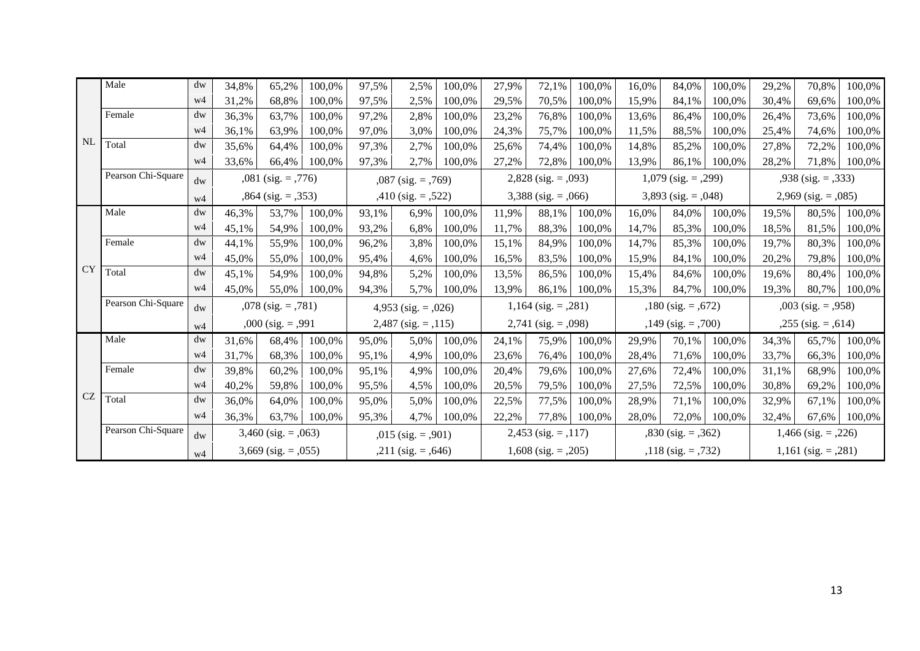|           | Male               | dw             | 34,8%                   | 65,2%                    | 100,0% | 97,5%                   | 2,5%                     | 100,0%                | 27,9%                    | 72,1%                    | 100,0%                  | 16,0%                   | 84,0%                   | 100,0%                   | 29,2%                 | 70,8%                   | 100,0% |
|-----------|--------------------|----------------|-------------------------|--------------------------|--------|-------------------------|--------------------------|-----------------------|--------------------------|--------------------------|-------------------------|-------------------------|-------------------------|--------------------------|-----------------------|-------------------------|--------|
|           |                    | w4             | 31,2%                   | 68,8%                    | 100,0% | 97,5%                   | 2,5%                     | 100,0%                | 29,5%                    | 70,5%                    | 100,0%                  | 15,9%                   | 84,1%                   | 100,0%                   | 30,4%                 | 69,6%                   | 100,0% |
|           | Female             | dw             | 36,3%                   | 63,7%                    | 100,0% | 97,2%                   | 2,8%                     | 100,0%                | 23,2%                    | 76,8%                    | 100,0%                  | 13,6%                   | 86,4%                   | 100,0%                   | 26,4%                 | 73,6%                   | 100,0% |
|           |                    | w4             | 36,1%                   | 63,9%                    | 100,0% | 97,0%                   | 3,0%                     | 100,0%                | 24,3%                    | 75,7%                    | 100,0%                  | 11,5%                   | 88,5%                   | 100.0%                   | 25,4%                 | 74,6%                   | 100,0% |
| <b>NL</b> | Total              | dw             | 35,6%                   | 64,4%                    | 100,0% | 97,3%                   | 2,7%                     | 100,0%                | 25,6%                    | 74,4%                    | 100,0%                  | 14,8%                   | 85,2%                   | 100,0%                   | 27,8%                 | 72,2%                   | 100,0% |
|           |                    | w4             | 33,6%                   | 66,4%                    | 100,0% | 97,3%                   | 2,7%                     | 100,0%                | 27,2%                    | 72,8%                    | 100.0%                  | 13,9%                   | 86,1%                   | 100.0%                   | 28,2%                 | 71,8%                   | 100,0% |
|           | Pearson Chi-Square | dw             | $,081$ (sig. = $,776$ ) |                          |        |                         | $,087$ (sig. = $,769$ )  |                       |                          | $2,828$ (sig. = $,093$ ) |                         |                         | $1,079$ (sig. = ,299)   |                          |                       | $,938$ (sig. = $,333$ ) |        |
|           |                    | w <sub>4</sub> | $,864$ (sig. = $,353$ ) |                          |        | $,410$ (sig. = $,522$ ) |                          |                       | $3,388$ (sig. = $,066$ ) |                          |                         | 3,893 (sig. = $,048$ )  |                         | $2,969$ (sig. = $,085$ ) |                       |                         |        |
|           | Male               | dw             | 46,3%                   | 53,7%                    | 100,0% | 93,1%                   | 6,9%                     | 100,0%                | 11,9%                    | 88,1%                    | 100,0%                  | 16,0%                   | 84,0%                   | 100,0%                   | 19,5%                 | 80,5%                   | 100,0% |
|           |                    | w4             | 45,1%                   | 54,9%                    | 100,0% | 93,2%                   | 6,8%                     | 100,0%                | 11,7%                    | 88,3%                    | 100,0%                  | 14,7%                   | 85,3%                   | 100,0%                   | 18,5%                 | 81,5%                   | 100,0% |
|           | Female             | dw             | 44,1%                   | 55,9%                    | 100,0% | 96,2%                   | 3,8%                     | 100,0%                | 15,1%                    | 84,9%                    | 100,0%                  | 14,7%                   | 85,3%                   | 100,0%                   | 19,7%                 | 80,3%                   | 100,0% |
|           |                    | w4             | 45,0%                   | 55,0%                    | 100,0% | 95,4%                   | 4,6%                     | 100,0%                | 16,5%                    | 83,5%                    | 100,0%                  | 15,9%                   | 84,1%                   | 100,0%                   | 20,2%                 | 79.8%                   | 100,0% |
| <b>CY</b> | Total              | dw             | 45,1%                   | 54,9%                    | 100,0% | 94,8%                   | 5,2%                     | 100,0%                | 13,5%                    | 86,5%                    | 100,0%                  | 15,4%                   | 84,6%                   | 100,0%                   | 19,6%                 | 80,4%                   | 100,0% |
|           |                    | w4             | 45,0%                   | 55,0%                    | 100,0% | 94,3%                   | 5,7%                     | 100,0%                | 13,9%                    | 86,1%                    | 100,0%                  | 15,3%                   | 84,7%                   | 100.0%                   | 19,3%                 | 80,7%                   | 100,0% |
|           | Pearson Chi-Square | dw             |                         | $,078$ (sig. = $,781$ )  |        | 4,953 (sig. = $,026$ )  |                          | $1,164$ (sig. = ,281) |                          | $,180$ (sig. = $,672$ )  |                         | $,003$ (sig. = $,958$ ) |                         |                          |                       |                         |        |
|           |                    | w4             |                         | $,000$ (sig. = $,991$ )  |        |                         | $2,487$ (sig. = $,115$ ) |                       | $2,741$ (sig. = ,098)    |                          | $,149$ (sig. = $,700$ ) |                         | $,255$ (sig. = $,614$ ) |                          |                       |                         |        |
|           | Male               | dw             | 31,6%                   | 68,4%                    | 100,0% | 95,0%                   | 5,0%                     | 100,0%                | 24,1%                    | 75,9%                    | 100,0%                  | 29,9%                   | 70,1%                   | 100,0%                   | 34,3%                 | 65,7%                   | 100,0% |
|           |                    | w4             | 31,7%                   | 68,3%                    | 100,0% | 95,1%                   | 4,9%                     | 100,0%                | 23,6%                    | 76,4%                    | 100,0%                  | 28,4%                   | 71,6%                   | 100,0%                   | 33,7%                 | 66,3%                   | 100,0% |
|           | Female             | dw             | 39,8%                   | 60,2%                    | 100,0% | 95,1%                   | 4,9%                     | 100,0%                | 20,4%                    | 79,6%                    | 100,0%                  | 27,6%                   | 72,4%                   | 100,0%                   | 31,1%                 | 68,9%                   | 100,0% |
|           |                    | w4             | 40,2%                   | 59,8%                    | 100,0% | 95,5%                   | 4,5%                     | 100,0%                | 20,5%                    | 79,5%                    | 100,0%                  | 27,5%                   | 72,5%                   | 100,0%                   | 30,8%                 | 69,2%                   | 100,0% |
| <b>CZ</b> | Total              | dw             | 36,0%                   | 64,0%                    | 100,0% | 95,0%                   | 5,0%                     | 100,0%                | 22,5%                    | 77,5%                    | 100,0%                  | 28,9%                   | 71,1%                   | 100,0%                   | 32,9%                 | 67,1%                   | 100,0% |
|           |                    | w4             | 36,3%                   | 63,7%                    | 100,0% | 95,3%                   | 4,7%                     | 100,0%                | 22,2%                    | 77,8%                    | 100,0%                  | 28,0%                   | 72,0%                   | 100,0%                   | 32,4%                 | 67,6%                   | 100,0% |
|           | Pearson Chi-Square | dw             |                         | $3,460$ (sig. = $,063$ ) |        |                         | $,015$ (sig. = $,901$ )  |                       | $2,453$ (sig. = ,117)    |                          |                         | $,830$ (sig. = $,362$ ) |                         |                          | $1,466$ (sig. = ,226) |                         |        |
|           |                    | w4             |                         | $3,669$ (sig. = $,055$ ) |        |                         | $,211$ (sig. = $,646$ )  |                       |                          | $1,608$ (sig. = ,205)    |                         |                         | $,118$ (sig. = $,732$ ) |                          |                       | $1,161$ (sig. = ,281)   |        |